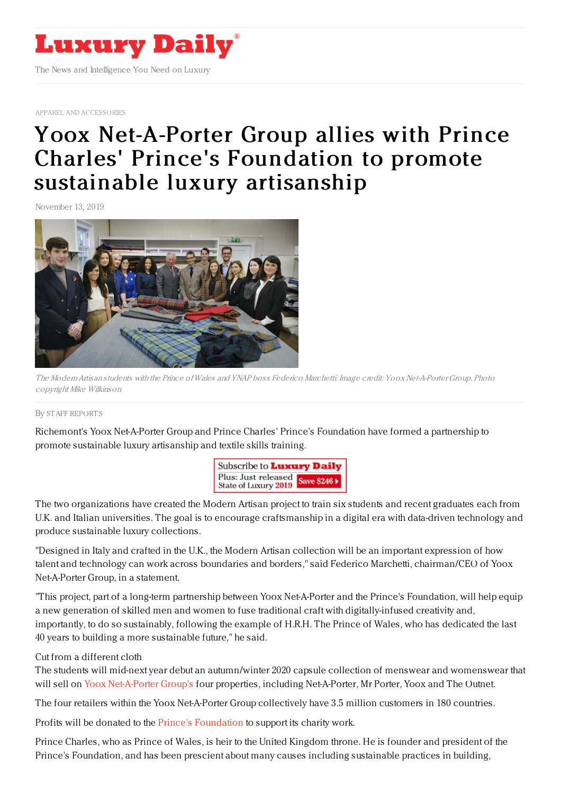

APPAREL AND [ACCESSORIES](https://www.luxurydaily.com/category/sectors/apparel-and-accessories/)

## Yoox [Net-A-Porter](https://www.luxurydaily.com/yoox-net-a-porter-group-allies-with-prince-charles-princes-foundation-to-promote-sustainable-luxury-artisanship/) Group allies with Prince Charles' Prince's Foundation to promote sustainable luxury artisanship

November 13, 2019



The ModernArtisan students with the Prince ofWales and YNAP boss Federico Marchetti. Image credit: Yoox Net-A-PorterGroup. Photo copyright Mike Wilkinson

## By STAFF [REPORT](file:///author/staff-reports) S

Richemont's Yoox Net-A-Porter Group and Prince Charles' Prince's Foundation have formed a partnership to promote sustainable luxury artisanship and textile skills training.



The two organizations have created the Modern Artisan project to train six students and recent graduates each from U.K. and Italian universities. The goal is to encourage craftsmanship in a digital era with data-driven technology and produce sustainable luxury collections.

"Designed in Italy and crafted in the U.K., the Modern Artisan collection will be an important expression of how talent and technology can work across boundaries and borders," said Federico Marchetti, chairman/CEO of Yoox Net-A-Porter Group, in a statement.

"This project, part of a long-term partnership between Yoox Net-A-Porter and the Prince's Foundation, will help equip a new generation of skilled men and women to fuse traditional craft with digitally-infused creativity and, importantly, to do so sustainably, following the example of H.R.H. The Prince of Wales, who has dedicated the last 40 years to building a more sustainable future," he said.

## Cut from a different cloth

The students will mid-next year debut an autumn/winter 2020 capsule collection of menswear and womenswear that will sell on Yoox [Net-A-Porter](http://www.ynap.com) Group's four properties, including Net-A-Porter, Mr Porter, Yoox and The Outnet.

The four retailers within the Yoox Net-A-Porter Group collectively have 3.5 million customers in 180 countries.

Profits will be donated to the Prince's [Foundation](http://www.princes-foundation.org) to support its charity work.

Prince Charles, who as Prince of Wales, is heir to the United Kingdom throne. He is founder and president of the Prince's Foundation, and has been prescient about many causes including sustainable practices in building,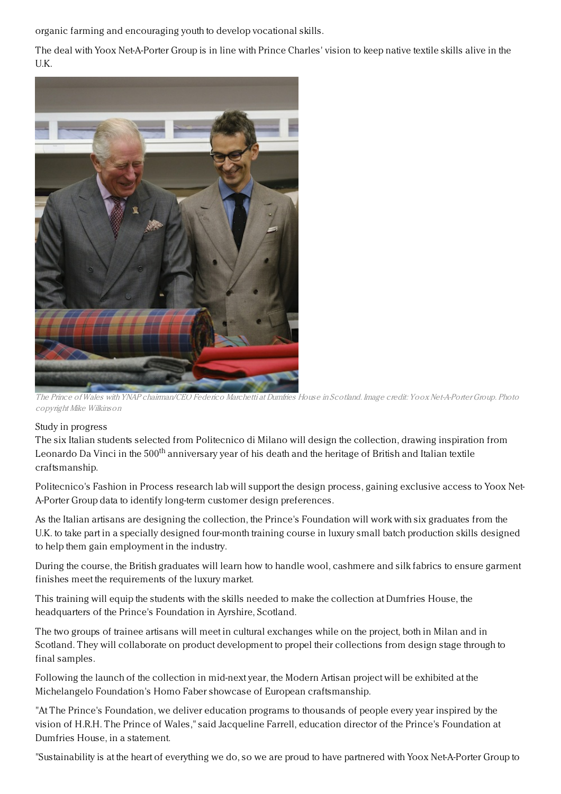organic farming and encouraging youth to develop vocational skills.

The deal with Yoox Net-A-Porter Group is in line with Prince Charles' vision to keep native textile skills alive in the U.K.



The Prince ofWales with YNAP chairman/CEO Federico Marchetti at Dumfries House in Scotland. Image credit: Yoox Net-A-PorterGroup. Photo copyright Mike Wilkinson

## Study in progress

The six Italian students selected from Politecnico di Milano will design the collection, drawing inspiration from Leonardo Da Vinci in the 500<sup>th</sup> anniversary year of his death and the heritage of British and Italian textile craftsmanship.

Politecnico's Fashion in Process research lab will support the design process, gaining exclusive access to Yoox Net-A-Porter Group data to identify long-term customer design preferences.

As the Italian artisans are designing the collection, the Prince's Foundation will work with six graduates from the U.K. to take part in a specially designed four-month training course in luxury small batch production skills designed to help them gain employment in the industry.

During the course, the British graduates will learn how to handle wool, cashmere and silk fabrics to ensure garment finishes meet the requirements of the luxury market.

This training will equip the students with the skills needed to make the collection at Dumfries House, the headquarters of the Prince's Foundation in Ayrshire, Scotland.

The two groups of trainee artisans will meet in cultural exchanges while on the project, both in Milan and in Scotland. They will collaborate on product development to propel their collections from design stage through to final samples.

Following the launch of the collection in mid-next year, the Modern Artisan project will be exhibited at the Michelangelo Foundation's Homo Faber showcase of European craftsmanship.

"At The Prince's Foundation, we deliver education programs to thousands of people every year inspired by the vision of H.R.H. The Prince of Wales," said Jacqueline Farrell, education director of the Prince's Foundation at Dumfries House, in a statement.

"Sustainability is at the heart of everything we do, so we are proud to have partnered with Yoox Net-A-Porter Group to